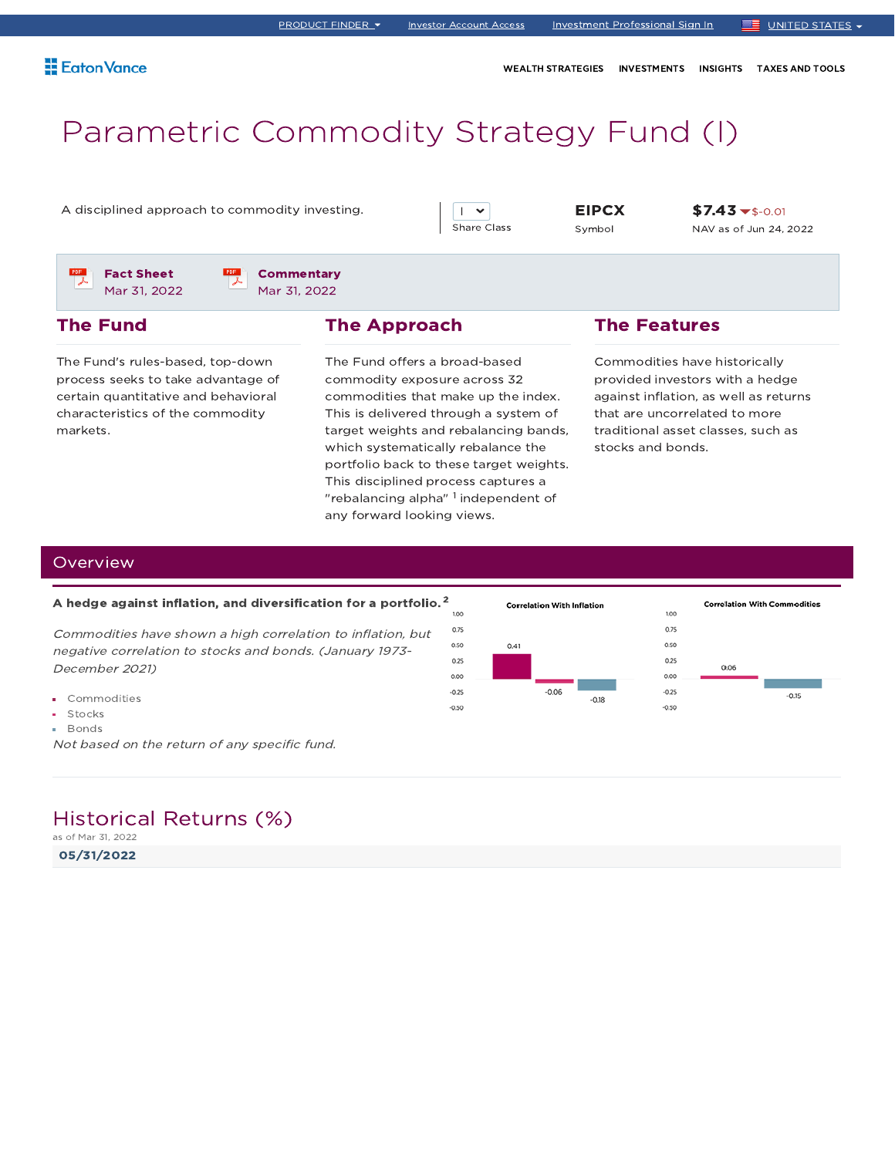WEALTH STRATEGIES INVESTMENTS INSIGHTS TAXES AND TOOLS

# Parametric Commodity Strategy Fund (I)

A disciplined approach to commodity investing. EIPCX

 $\mathsf{I}$   $\mathsf{v}$ Share Class

Symbol

 $$7.43 \t~$-0.01}$ NAV as of Jun 24, 2022

Fact Sheet Mar 31, 2022

**Commentary** Mar 31, 2022

### The Fund

The Fund's rules-based, top-down process seeks to take advantage of certain quantitative and behavioral characteristics of the commodity markets.

### The Approach

The Fund offers a broad-based commodity exposure across 32 commodities that make up the index. This is delivered through a system of target weights and rebalancing bands, which systematically rebalance the portfolio back to these target weights. This disciplined process captures a "rebalancing alpha"  $^{\rm 1}$  independent of any forward looking views.

### The Features

Commodities have historically provided investors with a hedge against inflation, as well as returns that are uncorrelated to more traditional asset classes, such as stocks and bonds.

### **Overview**

### A hedge against inflation, and diversification for a portfolio. $^{\mathsf{2}}$

Commodities have shown <sup>a</sup> high correlation to inflation, but negative correlation to stocks and bonds. (January 1973- December 2021)

- Commodities
- **Stocks**
- **Bonds**

Not based on the return of any specific fund.

### Historical Returns (%)

as of Mar 31, 2022

05/31/2022

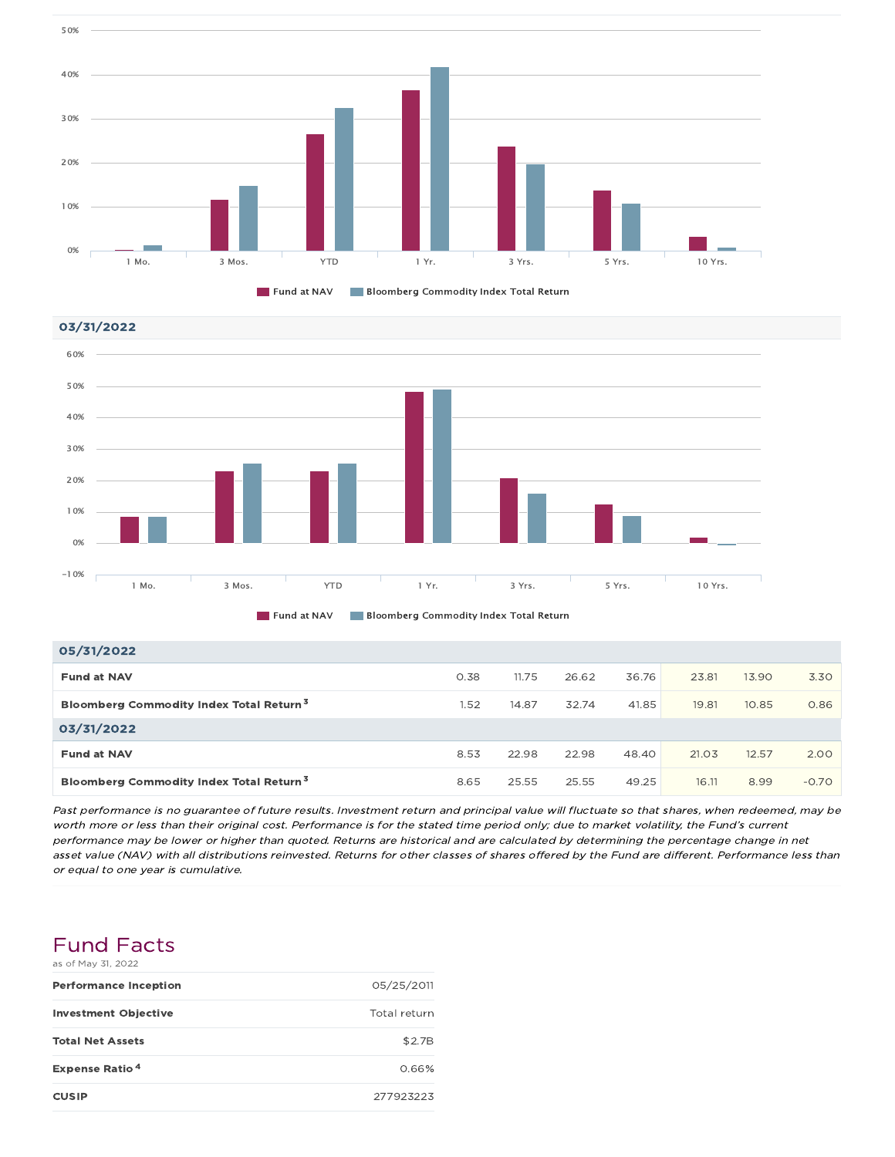







| 05/31/2022                                          |      |       |       |       |       |       |         |
|-----------------------------------------------------|------|-------|-------|-------|-------|-------|---------|
| <b>Fund at NAV</b>                                  | 0.38 | 11.75 | 26.62 | 36.76 | 23.81 | 13.90 | 3.30    |
| Bloomberg Commodity Index Total Return <sup>3</sup> | 1.52 | 14.87 | 32.74 | 41.85 | 19.81 | 10.85 | 0.86    |
| 03/31/2022                                          |      |       |       |       |       |       |         |
| <b>Fund at NAV</b>                                  | 8.53 | 22.98 | 22.98 | 48.40 | 21.03 | 12.57 | 2.00    |
| Bloomberg Commodity Index Total Return <sup>3</sup> | 8.65 | 25.55 | 25.55 | 49.25 | 16.11 | 8.99  | $-0.70$ |

Past performance is no guarantee of future results. Investment return and principal value will fluctuate so that shares, when redeemed, may be worth more or less than their original cost. Performance is for the stated time period only; due to market volatility, the Fund's current performance may be lower or higher than quoted. Returns are historical and are calculated by determining the percentage change in net asset value (NAV) with all distributions reinvested. Returns for other classes of shares offered by the Fund are different. Performance less than or equal to one year is cumulative.

### Fund Facts as of May 31, 2022

| <b>Performance Inception</b>     | 05/25/2011   |
|----------------------------------|--------------|
| <b>Investment Objective</b>      | Total return |
| <b>Total Net Assets</b>          | \$2.7B       |
| <b>Expense Ratio<sup>4</sup></b> | 0.66%        |
| <b>CUSIP</b>                     | 277923223    |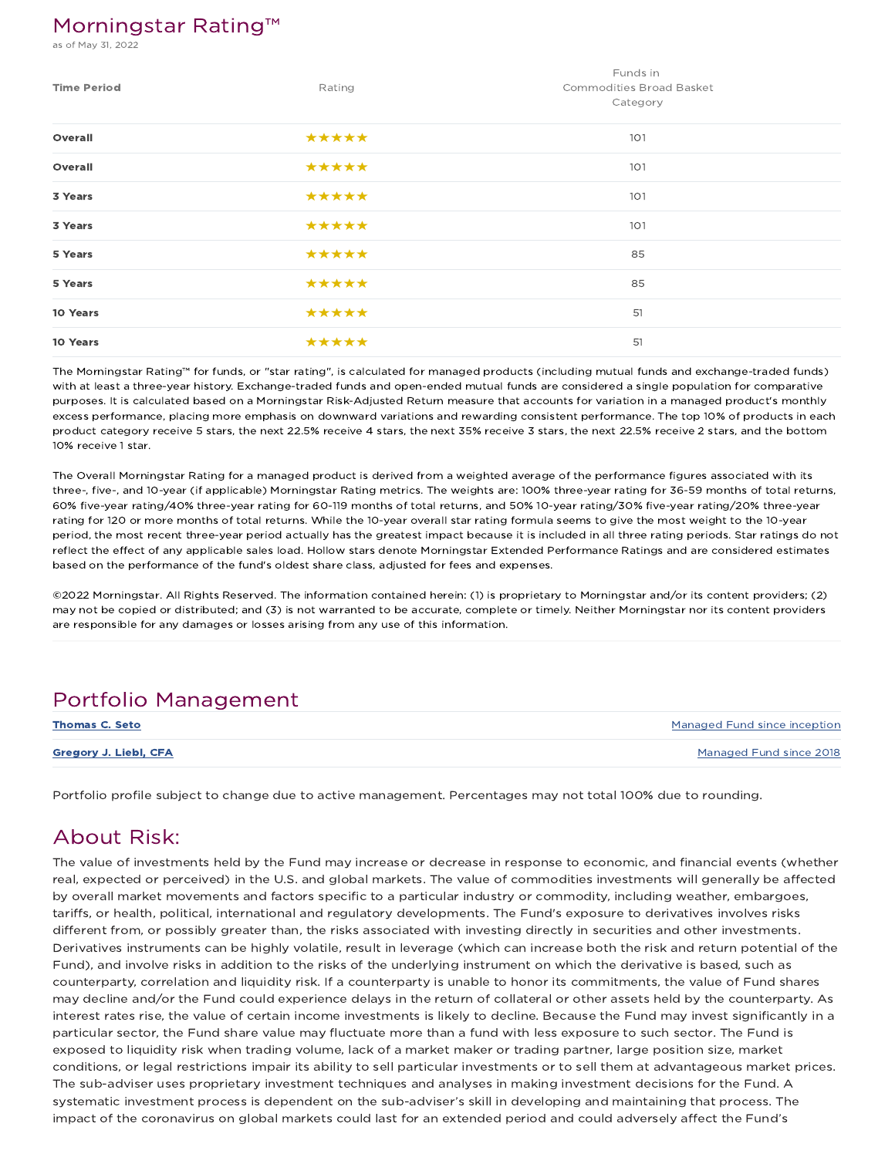### Morningstar Rating™

of May 31, 2022

| <b>Time Period</b> | Rating | Funds in<br>Commodities Broad Basket<br>Category |
|--------------------|--------|--------------------------------------------------|
| Overall            | *****  | 101                                              |
| Overall            | *****  | 101                                              |
| 3 Years            | *****  | 101                                              |
| 3 Years            | *****  | 101                                              |
| 5 Years            | *****  | 85                                               |
| 5 Years            | *****  | 85                                               |
| 10 Years           | *****  | 51                                               |
| 10 Years           | *****  | 51                                               |

The Morningstar Rating™ for funds, or "star rating", is calculated for managed products (including mutual funds and exchange-traded funds) with at least a three-year history. Exchange-traded funds and open-ended mutual funds are considered a single population for comparative purposes. It is calculated based on a Morningstar Risk-Adjusted Return measure that accounts for variation in a managed product's monthly excess performance, placing more emphasis on downward variations and rewarding consistent performance. The top 10% of products in each product category receive 5 stars, the next 22.5% receive 4 stars, the next 35% receive 3 stars, the next 22.5% receive 2 stars, and the bottom 10% receive 1 star.

The Overall Morningstar Rating for a managed product is derived from a weighted average of the performance figures associated with its three-, five-, and 10-year (if applicable) Morningstar Rating metrics. The weights are: 100% three-year rating for 36-59 months of total returns, 60% five-year rating/40% three-year rating for 60-119 months of total returns, and 50% 10-year rating/30% five-year rating/20% three-year rating for 120 or more months of total returns. While the 10-year overall star rating formula seems to give the most weight to the 10-year period, the most recent three-year period actually has the greatest impact because it is included in all three rating periods. Star ratings do not reflect the effect of any applicable sales load. Hollow stars denote Morningstar Extended Performance Ratings and are considered estimates based on the performance of the fund's oldest share class, adjusted for fees and expenses.

©2022 Morningstar. All Rights Reserved. The information contained herein: (1) is proprietary to Morningstar and/or its content providers; (2) may not be copied or distributed; and (3) is not warranted to be accurate, complete or timely. Neither Morningstar nor its content providers are responsible for any damages or losses arising from any use of this information.

### Portfolio Management

| <b>Thomas C. Seto</b> | Managed Fund since inception |
|-----------------------|------------------------------|
| Gregory J. Liebl, CFA | Managed Fund since 2018      |

Portfolio profile subject to change due to active management. Percentages may not total 100% due to rounding.

### About Risk:

The value of investments held by the Fund may increase or decrease in response to economic, and financial events (whether real, expected or perceived) in the U.S. and global markets. The value of commodities investments will generally be affected by overall market movements and factors specific to a particular industry or commodity, including weather, embargoes, tariffs, or health, political, international and regulatory developments. The Fund's exposure to derivatives involves risks different from, or possibly greater than, the risks associated with investing directly in securities and other investments. Derivatives instruments can be highly volatile, result in leverage (which can increase both the risk and return potential of the Fund), and involve risks in addition to the risks of the underlying instrument on which the derivative is based, such as counterparty, correlation and liquidity risk. If a counterparty is unable to honor its commitments, the value of Fund shares may decline and/or the Fund could experience delays in the return of collateral or other assets held by the counterparty. As interest rates rise, the value of certain income investments is likely to decline. Because the Fund may invest significantly in a particular sector, the Fund share value may fluctuate more than a fund with less exposure to such sector. The Fund is exposed to liquidity risk when trading volume, lack of a market maker or trading partner, large position size, market conditions, or legal restrictions impair its ability to sell particular investments or to sell them at advantageous market prices. The sub-adviser uses proprietary investment techniques and analyses in making investment decisions for the Fund. A systematic investment process is dependent on the sub-adviser's skill in developing and maintaining that process. The impact of the coronavirus on global markets could last for an extended period and could adversely affect the Fund's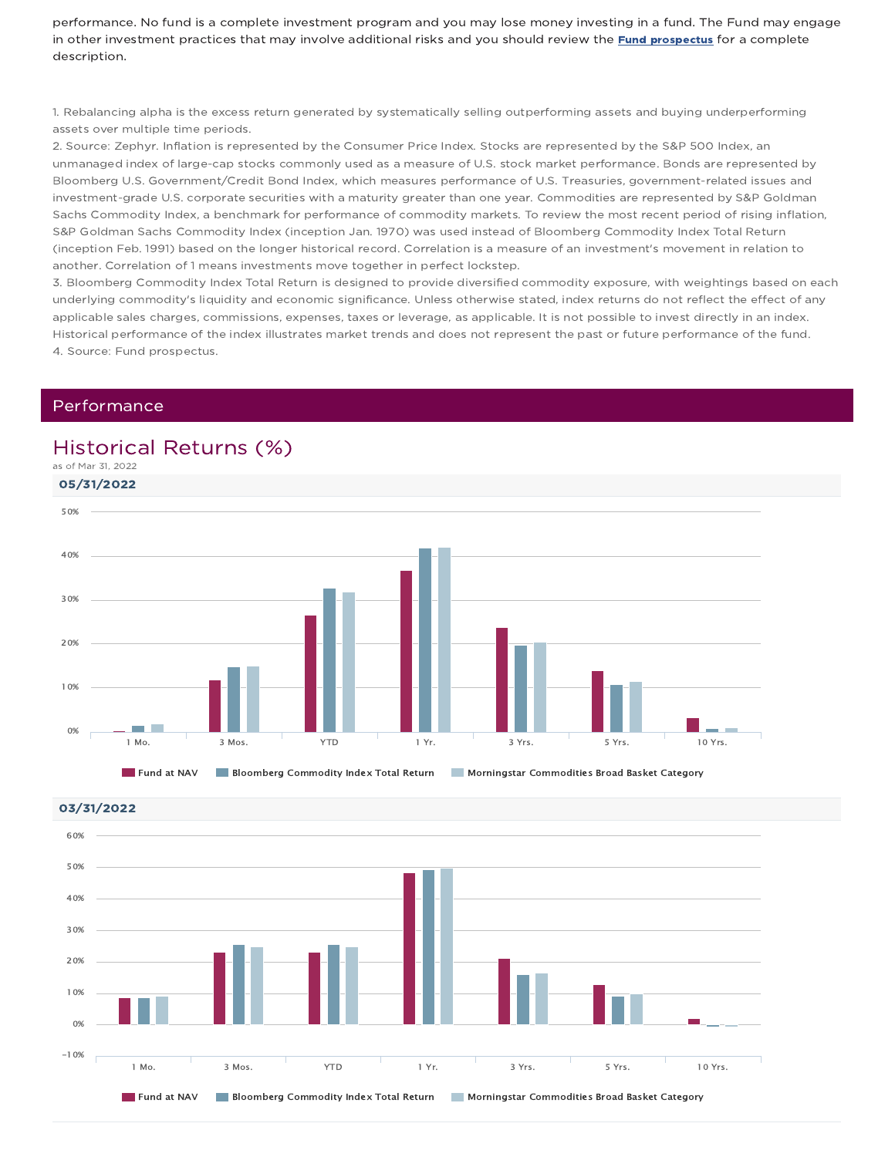performance. No fund is a complete investment program and you may lose money investing in a fund. The Fund may engage in other investment practices that may involve additional risks and you should review the Fund prospectus for a complete description.

1. Rebalancing alpha is the excess return generated by systematically selling outperforming assets and buying underperforming assets over multiple time periods.

2. Source: Zephyr. Inflation is represented by the Consumer Price Index. Stocks are represented by the S&P 500 Index, an unmanaged index of large-cap stocks commonly used as a measure of U.S. stock market performance. Bonds are represented by Bloomberg U.S. Government/Credit Bond Index, which measures performance of U.S. Treasuries, government-related issues and investment-grade U.S. corporate securities with a maturity greater than one year. Commodities are represented by S&P Goldman Sachs Commodity Index, a benchmark for performance of commodity markets. To review the most recent period of rising inflation, S&P Goldman Sachs Commodity Index (inception Jan. 1970) was used instead of Bloomberg Commodity Index Total Return (inception Feb. 1991) based on the longer historical record. Correlation is a measure of an investment's movement in relation to another. Correlation of 1 means investments move together in perfect lockstep.

3. Bloomberg Commodity Index Total Return is designed to provide diversified commodity exposure, with weightings based on each underlying commodity's liquidity and economic significance. Unless otherwise stated, index returns do not reflect the effect of any applicable sales charges, commissions, expenses, taxes or leverage, as applicable. It is not possible to invest directly in an index. Historical performance of the index illustrates market trends and does not represent the past or future performance of the fund. 4. Source: Fund prospectus.

### Performance

### Historical Returns (%)

as of Mar 31, 2022



**Fund at NAV Bloomberg Commodity Index Total Return Morningstar Commodities Broad Basket Category** 

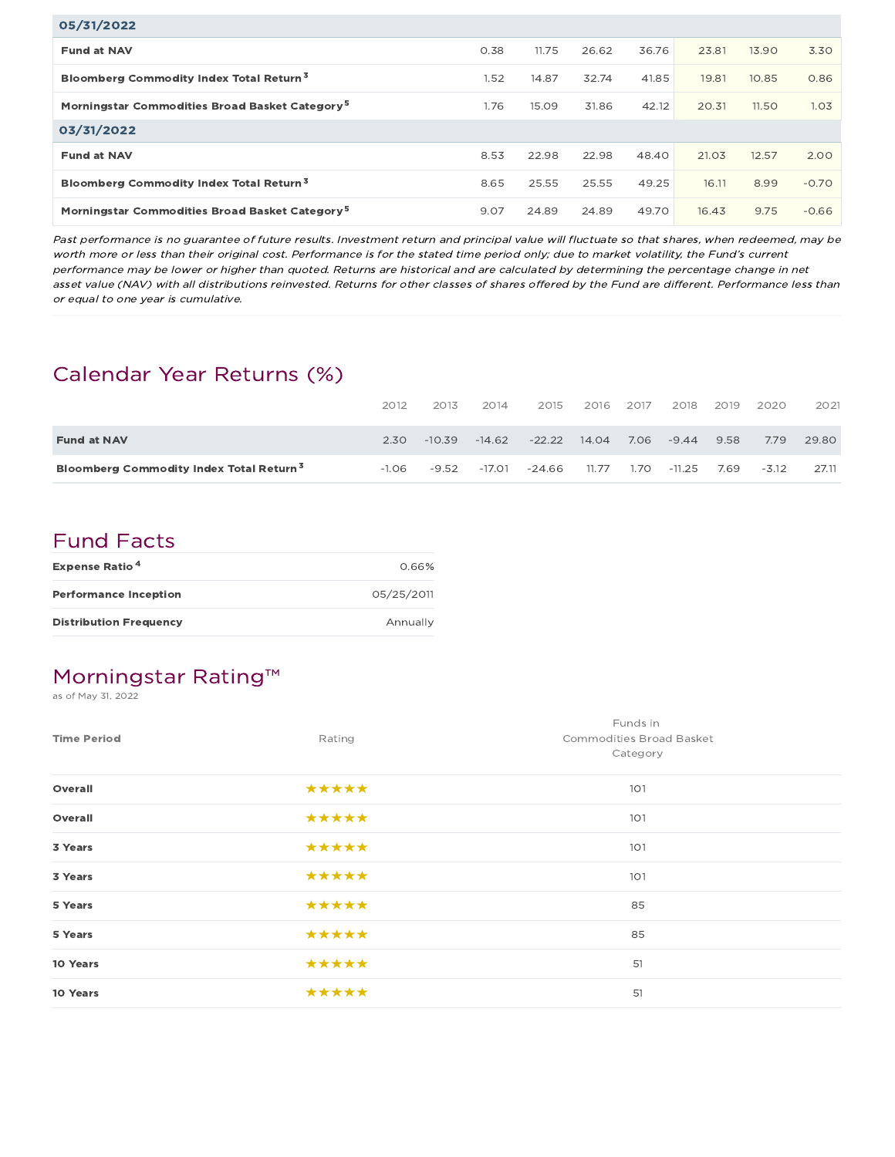| 05/31/2022                                                 |      |       |       |       |       |       |         |
|------------------------------------------------------------|------|-------|-------|-------|-------|-------|---------|
| <b>Fund at NAV</b>                                         | 0.38 | 11.75 | 26.62 | 36.76 | 23.81 | 13.90 | 3.30    |
| Bloomberg Commodity Index Total Return <sup>3</sup>        | 1.52 | 14.87 | 32.74 | 41.85 | 19.81 | 10.85 | 0.86    |
| Morningstar Commodities Broad Basket Category <sup>5</sup> | 1.76 | 15.09 | 31.86 | 42.12 | 20.31 | 11.50 | 1.03    |
| 03/31/2022                                                 |      |       |       |       |       |       |         |
| <b>Fund at NAV</b>                                         | 8.53 | 22.98 | 22.98 | 48.40 | 21.03 | 12.57 | 2.00    |
| Bloomberg Commodity Index Total Return <sup>3</sup>        | 8.65 | 25.55 | 25.55 | 49.25 | 16.11 | 8.99  | $-0.70$ |
| Morningstar Commodities Broad Basket Category <sup>5</sup> | 9.07 | 24.89 | 24.89 | 49.70 | 16.43 | 9.75  | $-0.66$ |

Past performance is no guarantee of future results. Investment return and principal value will fluctuate so that shares, when redeemed, may be worth more or less than their original cost. Performance is for the stated time period only; due to market volatility, the Fund's current performance may be lower or higher than quoted. Returns are historical and are calculated by determining the percentage change in net asset value (NAV) with all distributions reinvested. Returns for other classes of shares offered by the Fund are different. Performance less than or equal to one year is cumulative.

## Calendar Year Returns (%)

|                                                     | 2012    | 2013     | 2014   | 2015     | 2016  | 2017 | 2018   | 2019 | 2020    | 2021  |
|-----------------------------------------------------|---------|----------|--------|----------|-------|------|--------|------|---------|-------|
| <b>Fund at NAV</b>                                  | 2.30    | $-10.39$ | -14.62 | $-22.22$ | 14.04 | 7.06 | -9.44  | 9.58 | 7.79    | 29.80 |
| Bloomberg Commodity Index Total Return <sup>3</sup> | $-1.06$ | $-9.52$  | -17.01 | -24.66   | 11.77 | 1.70 | -11.25 | 7.69 | $-3.12$ | 27.11 |

## Fund Facts

| <b>Expense Ratio<sup>4</sup></b> | 0.66%      |
|----------------------------------|------------|
| <b>Performance Inception</b>     | 05/25/2011 |
| <b>Distribution Frequency</b>    | Annually   |

## Morningstar Rating™

as of May 31, 2022

| <b>Time Period</b> | Rating | Funds in<br>Commodities Broad Basket<br>Category |
|--------------------|--------|--------------------------------------------------|
| Overall            | *****  | 101                                              |
| Overall            | *****  | 101                                              |
| 3 Years            | *****  | 101                                              |
| 3 Years            | *****  | 101                                              |
| 5 Years            | *****  | 85                                               |
| 5 Years            | *****  | 85                                               |
| 10 Years           | *****  | 51                                               |
| 10 Years           | *****  | 51                                               |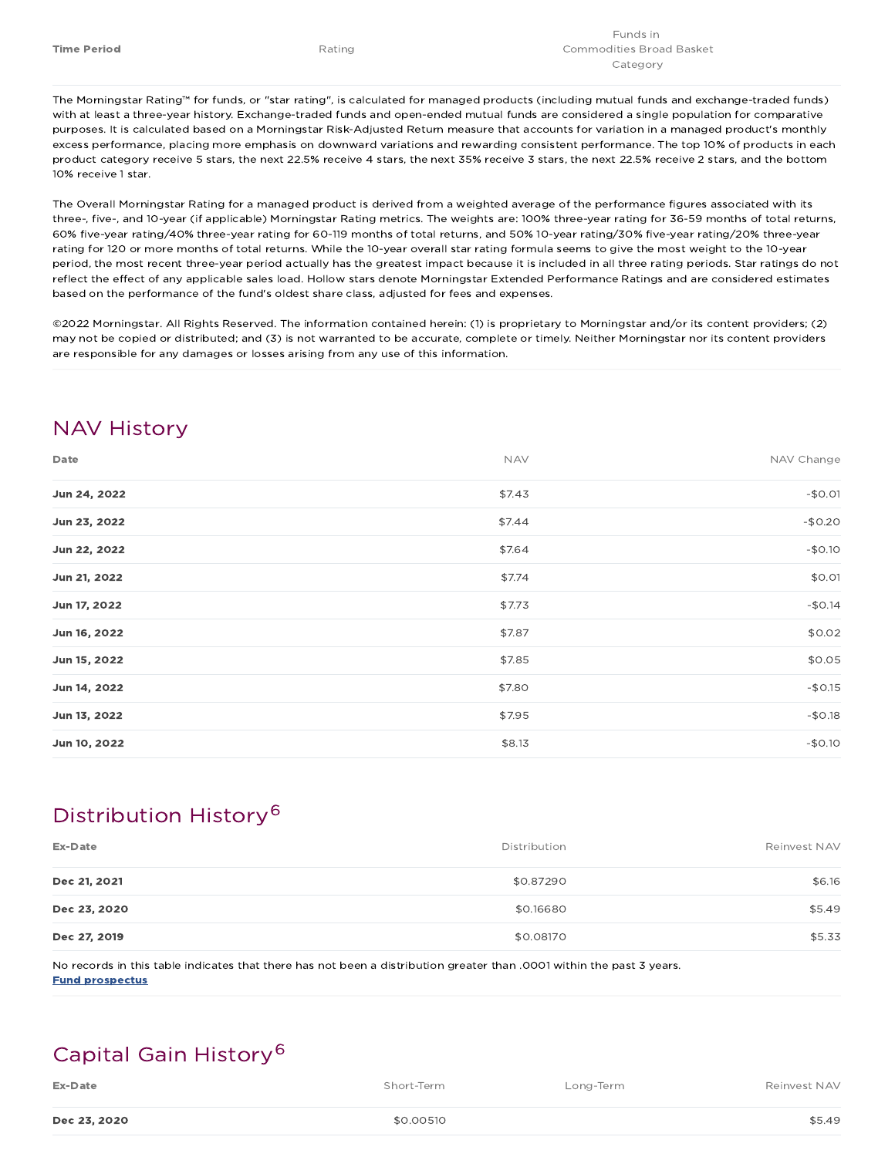The Morningstar Rating™ for funds, or "star rating", is calculated for managed products (including mutual funds and exchange-traded funds) with at least a three-year history. Exchange-traded funds and open-ended mutual funds are considered a single population for comparative purposes. It is calculated based on a Morningstar Risk-Adjusted Return measure that accounts for variation in a managed product's monthly excess performance, placing more emphasis on downward variations and rewarding consistent performance. The top 10% of products in each product category receive 5 stars, the next 22.5% receive 4 stars, the next 35% receive 3 stars, the next 22.5% receive 2 stars, and the bottom 10% receive 1 star.

The Overall Morningstar Rating for a managed product is derived from a weighted average of the performance figures associated with its three-, five-, and 10-year (if applicable) Morningstar Rating metrics. The weights are: 100% three-year rating for 36-59 months of total returns, 60% five-year rating/40% three-year rating for 60-119 months of total returns, and 50% 10-year rating/30% five-year rating/20% three-year rating for 120 or more months of total returns. While the 10-year overall star rating formula seems to give the most weight to the 10-year period, the most recent three-year period actually has the greatest impact because it is included in all three rating periods. Star ratings do not reflect the effect of any applicable sales load. Hollow stars denote Morningstar Extended Performance Ratings and are considered estimates based on the performance of the fund's oldest share class, adjusted for fees and expenses.

©2022 Morningstar. All Rights Reserved. The information contained herein: (1) is proprietary to Morningstar and/or its content providers; (2) may not be copied or distributed; and (3) is not warranted to be accurate, complete or timely. Neither Morningstar nor its content providers are responsible for any damages or losses arising from any use of this information.

## NAV History

| Date         | <b>NAV</b> | NAV Change |
|--------------|------------|------------|
| Jun 24, 2022 | \$7.43     | $-$0.01$   |
| Jun 23, 2022 | \$7.44     | $-$0.20$   |
| Jun 22, 2022 | \$7.64     | $-$0.10$   |
| Jun 21, 2022 | \$7.74     | \$0.01     |
| Jun 17, 2022 | \$7.73     | $-$0.14$   |
| Jun 16, 2022 | \$7.87     | \$0.02     |
| Jun 15, 2022 | \$7.85     | \$0.05     |
| Jun 14, 2022 | \$7.80     | $-$0.15$   |
| Jun 13, 2022 | \$7.95     | $-$0.18$   |
| Jun 10, 2022 | \$8.13     | $-$0.10$   |

## Distribution History 6

| Ex-Date      | Distribution | Reinvest NAV |
|--------------|--------------|--------------|
| Dec 21, 2021 | \$0.87290    | \$6.16       |
| Dec 23, 2020 | \$0.16680    | \$5.49       |
| Dec 27, 2019 | \$0.08170    | \$5.33       |

No records in this table indicates that there has not been a distribution greater than .0001 within the past 3 years. Fund prospectus

## Capital Gain History 6

| Ex-Date | Short-Term | Long-Term | Reinvest NAV |
|---------|------------|-----------|--------------|
|         |            |           |              |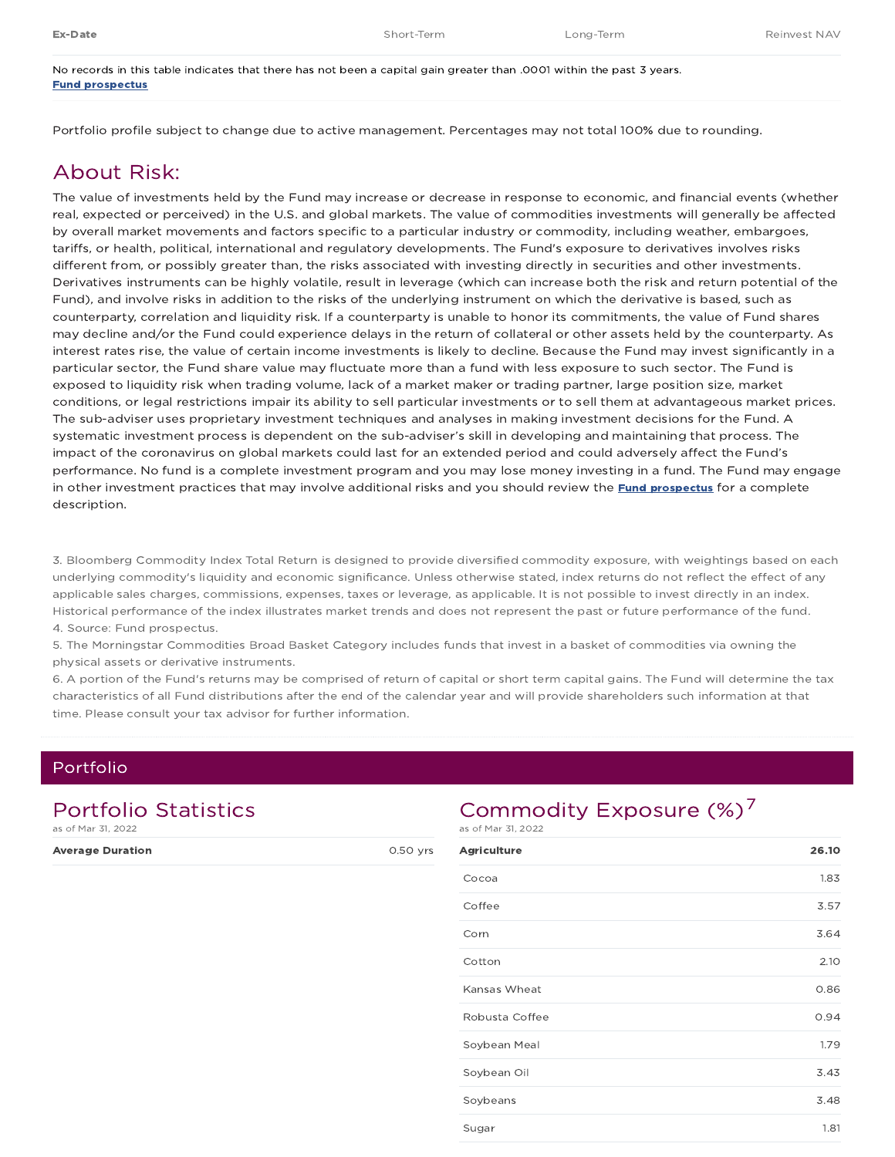No records in this table indicates that there has not been a capital gain greater than .0001 within the past 3 years. Fund prospectus

Portfolio profile subject to change due to active management. Percentages may not total 100% due to rounding.

### About Risk:

The value of investments held by the Fund may increase or decrease in response to economic, and financial events (whether real, expected or perceived) in the U.S. and global markets. The value of commodities investments will generally be affected by overall market movements and factors specific to a particular industry or commodity, including weather, embargoes, tariffs, or health, political, international and regulatory developments. The Fund's exposure to derivatives involves risks different from, or possibly greater than, the risks associated with investing directly in securities and other investments. Derivatives instruments can be highly volatile, result in leverage (which can increase both the risk and return potential of the Fund), and involve risks in addition to the risks of the underlying instrument on which the derivative is based, such as counterparty, correlation and liquidity risk. If a counterparty is unable to honor its commitments, the value of Fund shares may decline and/or the Fund could experience delays in the return of collateral or other assets held by the counterparty. As interest rates rise, the value of certain income investments is likely to decline. Because the Fund may invest significantly in a particular sector, the Fund share value may fluctuate more than a fund with less exposure to such sector. The Fund is exposed to liquidity risk when trading volume, lack of a market maker or trading partner, large position size, market conditions, or legal restrictions impair its ability to sell particular investments or to sell them at advantageous market prices. The sub-adviser uses proprietary investment techniques and analyses in making investment decisions for the Fund. A systematic investment process is dependent on the sub-adviser's skill in developing and maintaining that process. The impact of the coronavirus on global markets could last for an extended period and could adversely affect the Fund's performance. No fund is a complete investment program and you may lose money investing in a fund. The Fund may engage in other investment practices that may involve additional risks and you should review the **Fund prospectus** for a complete description.

3. Bloomberg Commodity Index Total Return is designed to provide diversified commodity exposure, with weightings based on each underlying commodity's liquidity and economic significance. Unless otherwise stated, index returns do not reflect the effect of any applicable sales charges, commissions, expenses, taxes or leverage, as applicable. It is not possible to invest directly in an index. Historical performance of the index illustrates market trends and does not represent the past or future performance of the fund. 4. Source: Fund prospectus.

5. The Morningstar Commodities Broad Basket Category includes funds that invest in a basket of commodities via owning the physical assets or derivative instruments.

6. A portion of the Fund's returns may be comprised of return of capital or short term capital gains. The Fund will determine the tax characteristics of all Fund distributions after the end of the calendar year and will provide shareholders such information at that time. Please consult your tax advisor for further information.

### Portfolio

| <b>Portfolio Statistics</b><br>as of Mar 31, 2022 |          |  |  |  |
|---------------------------------------------------|----------|--|--|--|
| <b>Average Duration</b>                           | 0.50 yrs |  |  |  |
|                                                   |          |  |  |  |
|                                                   |          |  |  |  |

## Commodity Exposure (%)<sup>7</sup>

as of Mar 31, 2022

| <b>Agriculture</b> | 26.10 |
|--------------------|-------|
| Cocoa              | 1.83  |
| Coffee             | 3.57  |
| Corn               | 3.64  |
| Cotton             | 2.10  |
| Kansas Wheat       | 0.86  |
| Robusta Coffee     | 0.94  |
| Soybean Meal       | 1.79  |
| Soybean Oil        | 3.43  |
| Soybeans           | 3.48  |
| Sugar              | 1.81  |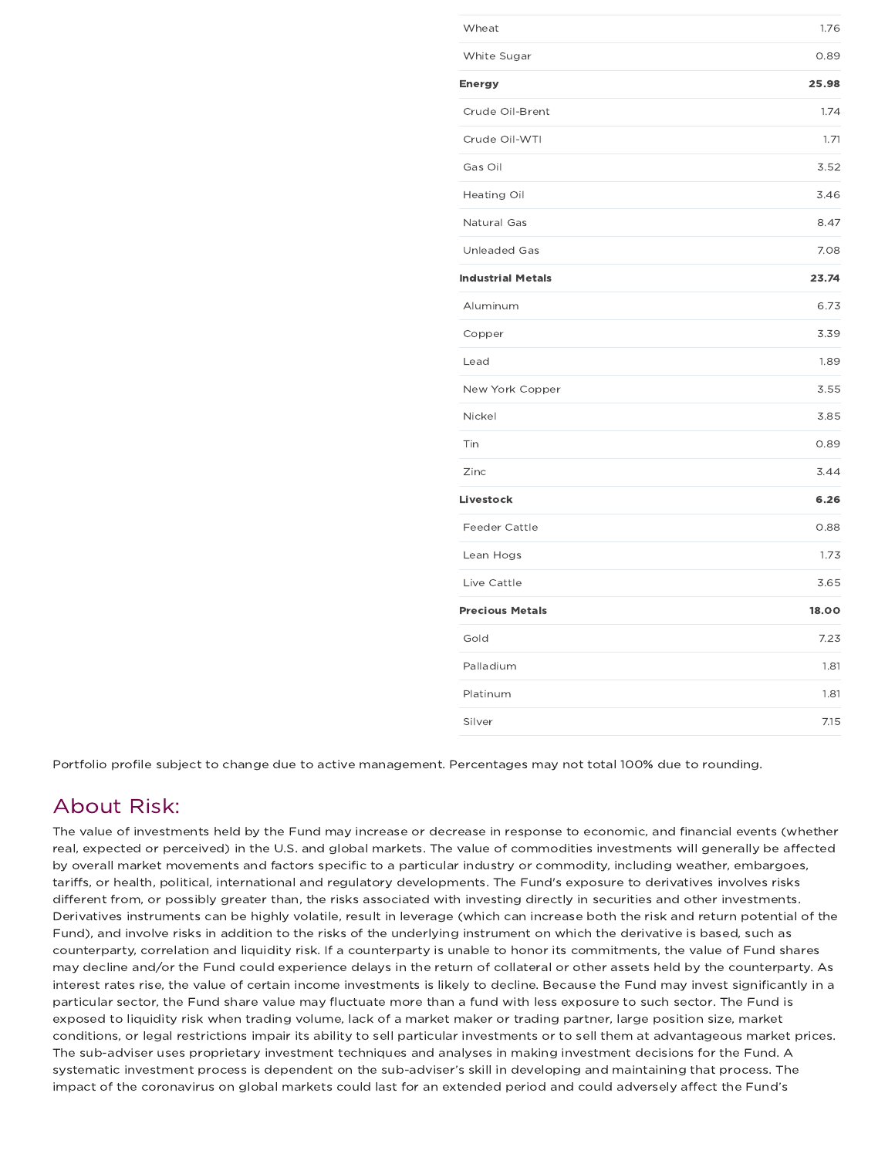| Wheat                    | 1.76  |
|--------------------------|-------|
| White Sugar              | 0.89  |
| Energy                   | 25.98 |
| Crude Oil-Brent          | 1.74  |
| Crude Oil-WTI            | 1.71  |
| Gas Oil                  | 3.52  |
| <b>Heating Oil</b>       | 3.46  |
| Natural Gas              | 8.47  |
| <b>Unleaded Gas</b>      | 7.08  |
| <b>Industrial Metals</b> | 23.74 |
| Aluminum                 | 6.73  |
| Copper                   | 3.39  |
| Lead                     | 1.89  |
| New York Copper          | 3.55  |
| Nickel                   | 3.85  |
| Tin                      | 0.89  |
| Zinc                     | 3.44  |
| Livestock                | 6.26  |
| Feeder Cattle            | 0.88  |
| Lean Hogs                | 1.73  |
| Live Cattle              | 3.65  |
| <b>Precious Metals</b>   | 18.00 |
| Gold                     | 7.23  |
| Palladium                | 1.81  |
| Platinum                 | 1.81  |
| Silver                   | 7.15  |

Portfolio profile subject to change due to active management. Percentages may not total 100% due to rounding.

## About Risk:

The value of investments held by the Fund may increase or decrease in response to economic, and financial events (whether real, expected or perceived) in the U.S. and global markets. The value of commodities investments will generally be affected by overall market movements and factors specific to a particular industry or commodity, including weather, embargoes, tariffs, or health, political, international and regulatory developments. The Fund's exposure to derivatives involves risks different from, or possibly greater than, the risks associated with investing directly in securities and other investments. Derivatives instruments can be highly volatile, result in leverage (which can increase both the risk and return potential of the Fund), and involve risks in addition to the risks of the underlying instrument on which the derivative is based, such as counterparty, correlation and liquidity risk. If a counterparty is unable to honor its commitments, the value of Fund shares may decline and/or the Fund could experience delays in the return of collateral or other assets held by the counterparty. As interest rates rise, the value of certain income investments is likely to decline. Because the Fund may invest significantly in a particular sector, the Fund share value may fluctuate more than a fund with less exposure to such sector. The Fund is exposed to liquidity risk when trading volume, lack of a market maker or trading partner, large position size, market conditions, or legal restrictions impair its ability to sell particular investments or to sell them at advantageous market prices. The sub-adviser uses proprietary investment techniques and analyses in making investment decisions for the Fund. A systematic investment process is dependent on the sub-adviser's skill in developing and maintaining that process. The impact of the coronavirus on global markets could last for an extended period and could adversely affect the Fund's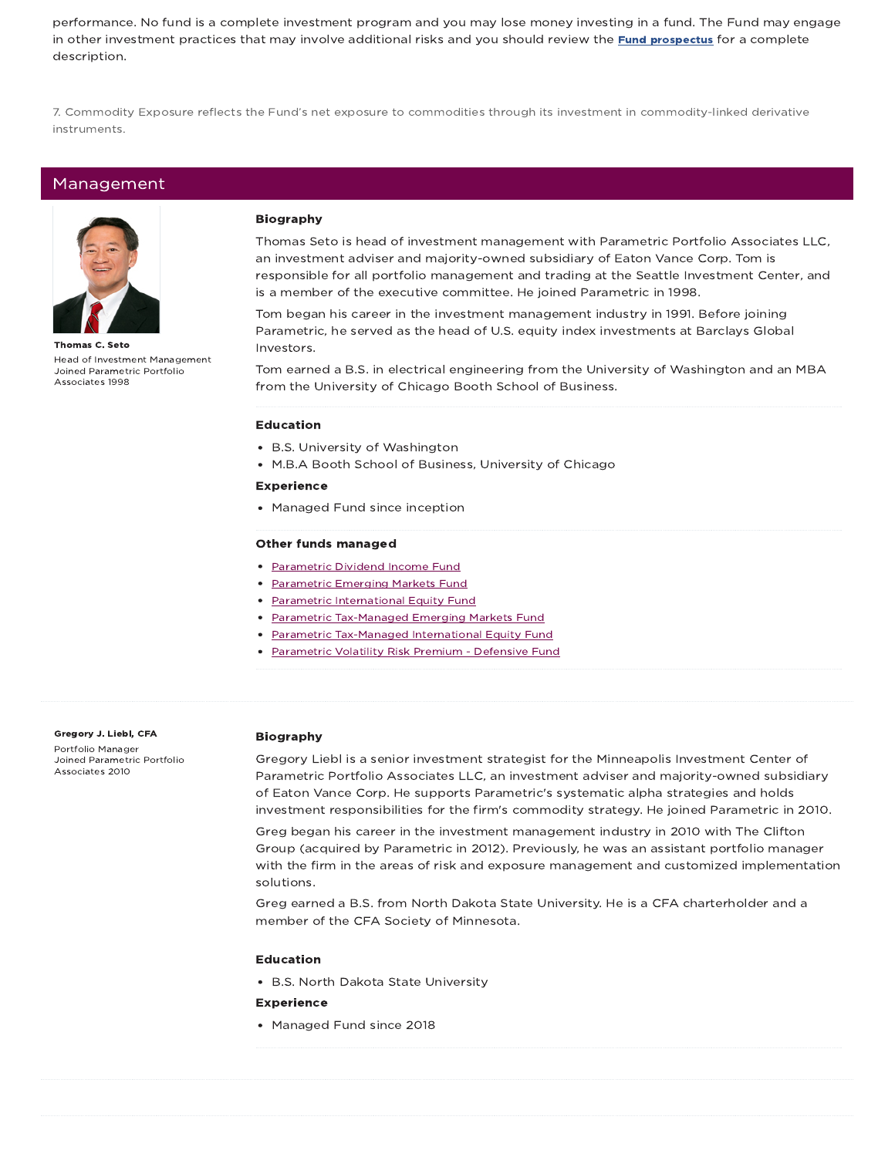performance. No fund is a complete investment program and you may lose money investing in a fund. The Fund may engage in other investment practices that may involve additional risks and you should review the Fund prospectus for a complete description.

7. Commodity Exposure reflects the Fund's net exposure to commodities through its investment in commodity-linked derivative instruments.

### Management



Thomas C. Seto Head of Investment Management Joined Parametric Portfolio Associates 1998

#### Biography

Thomas Seto is head of investment management with Parametric Portfolio Associates LLC, an investment adviser and majority-owned subsidiary of Eaton Vance Corp. Tom is responsible for all portfolio management and trading at the Seattle Investment Center, and is a member of the executive committee. He joined Parametric in 1998.

Tom began his career in the investment management industry in 1991. Before joining Parametric, he served as the head of U.S. equity index investments at Barclays Global Investors.

Tom earned a B.S. in electrical engineering from the University of Washington and an MBA from the University of Chicago Booth School of Business.

#### Education

- B.S. University of Washington
- M.B.A Booth School of Business, University of Chicago

#### Experience

• Managed Fund since inception

#### Other funds managed

- Parametric Dividend Income Fund
- Parametric Emerging Markets Fund
- Parametric International Equity Fund
- Parametric Tax-Managed Emerging Markets Fund
- Parametric Tax-Managed International Equity Fund
- Parametric Volatility Risk Premium Defensive Fund

#### Gregory J. Liebl, CFA Portfolio Manager Joined Parametric Portfolio Associates 2010

#### Biography

Gregory Liebl is a senior investment strategist for the Minneapolis Investment Center of Parametric Portfolio Associates LLC, an investment adviser and majority-owned subsidiary of Eaton Vance Corp. He supports Parametric's systematic alpha strategies and holds investment responsibilities for the firm's commodity strategy. He joined Parametric in 2010.

Greg began his career in the investment management industry in 2010 with The Clifton Group (acquired by Parametric in 2012). Previously, he was an assistant portfolio manager with the firm in the areas of risk and exposure management and customized implementation solutions.

Greg earned a B.S. from North Dakota State University. He is a CFA charterholder and a member of the CFA Society of Minnesota.

#### Education

B.S. North Dakota State University

#### Experience

• Managed Fund since 2018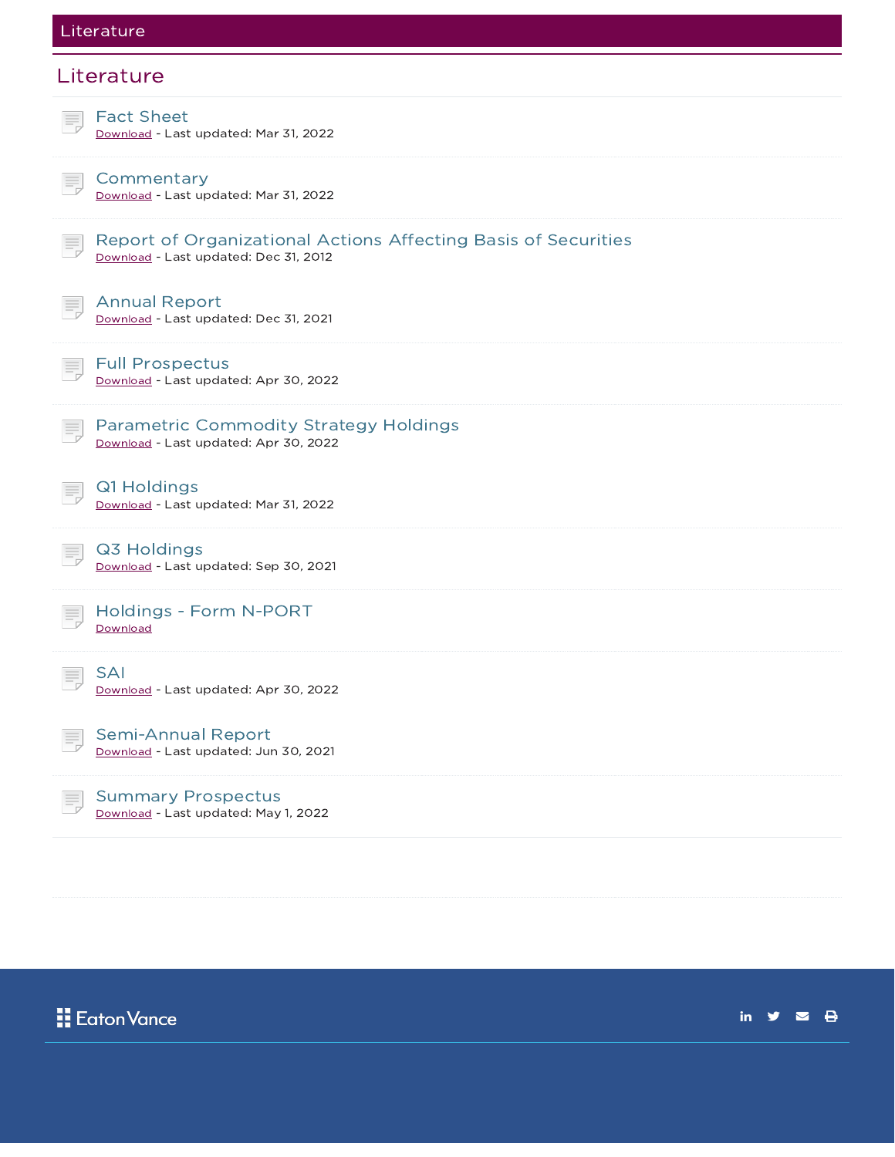### Literature

# **Literature** Fact Sheet Download - Last updated: Mar 31, 2022 **Commentary** Download - Last updated: Mar 31, 2022 Report of Organizational Actions Affecting Basis of Securities Download - Last updated: Dec 31, 2012 Annual Report Download - Last updated: Dec 31, 2021 Full Prospectus Download - Last updated: Apr 30, 2022 Parametric Commodity Strategy Holdings Download - Last updated: Apr 30, 2022 Q1 Holdings Download - Last updated: Mar 31, 2022 Q3 Holdings Download - Last updated: Sep 30, 2021 Holdings - Form N-PORT **Download** SAI Download - Last updated: Apr 30, 2022 Semi-Annual Report Download - Last updated: Jun 30, 2021 Summary Prospectus Download - Last updated: May 1, 2022

**Eaton Vance** 

in  $\mathbf{y}$   $\mathbf{z}$   $\mathbf{\Theta}$